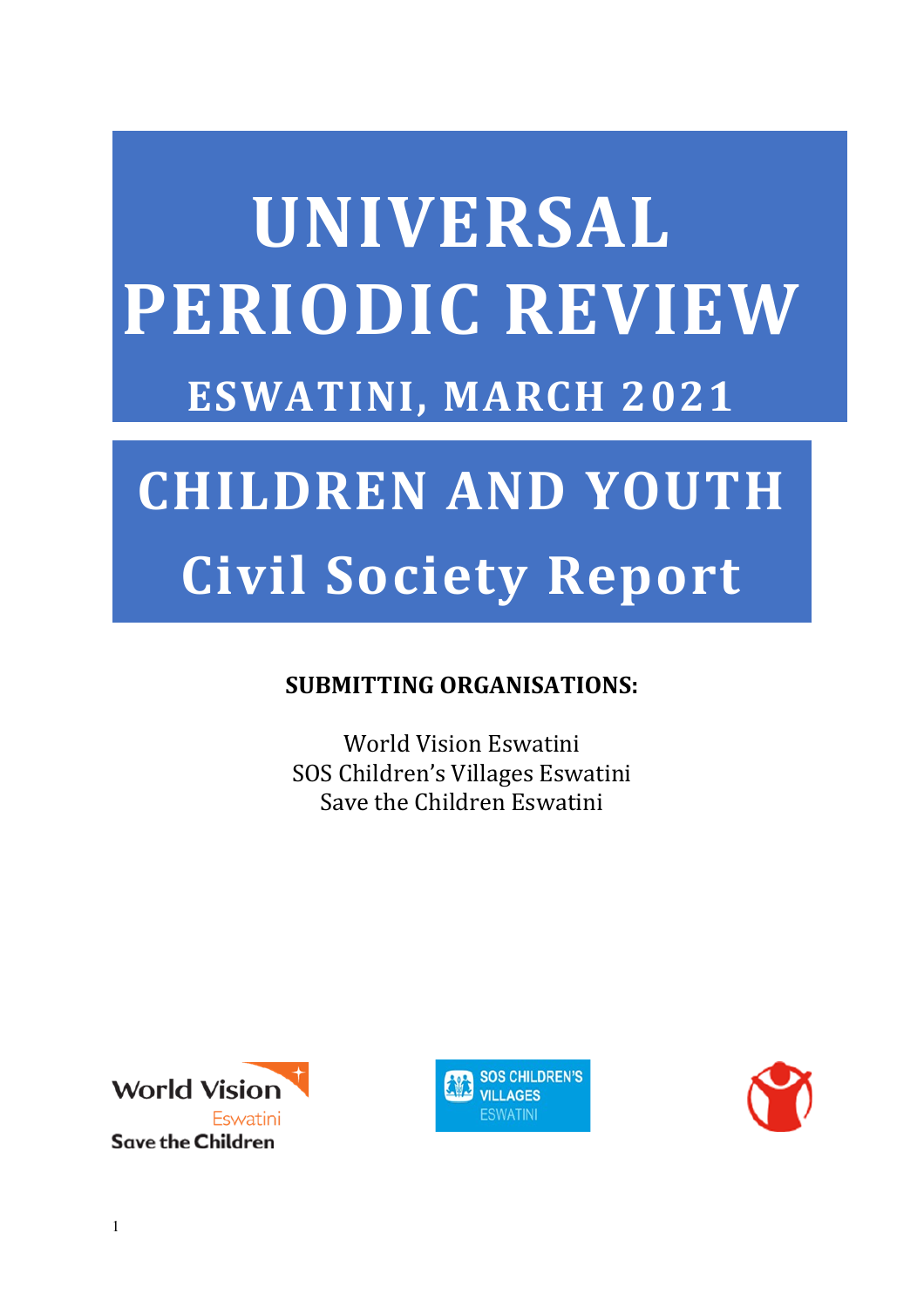# **UNIVERSAL PERIODIC REVIEW ESWATINI, MARCH 2021**

## **CHILDREN AND YOUTH Civil Society Report**

#### **SUBMITTING ORGANISATIONS:**

World Vision Eswatini SOS Children'<sup>s</sup> Villages Eswatini Save the Children Eswatini





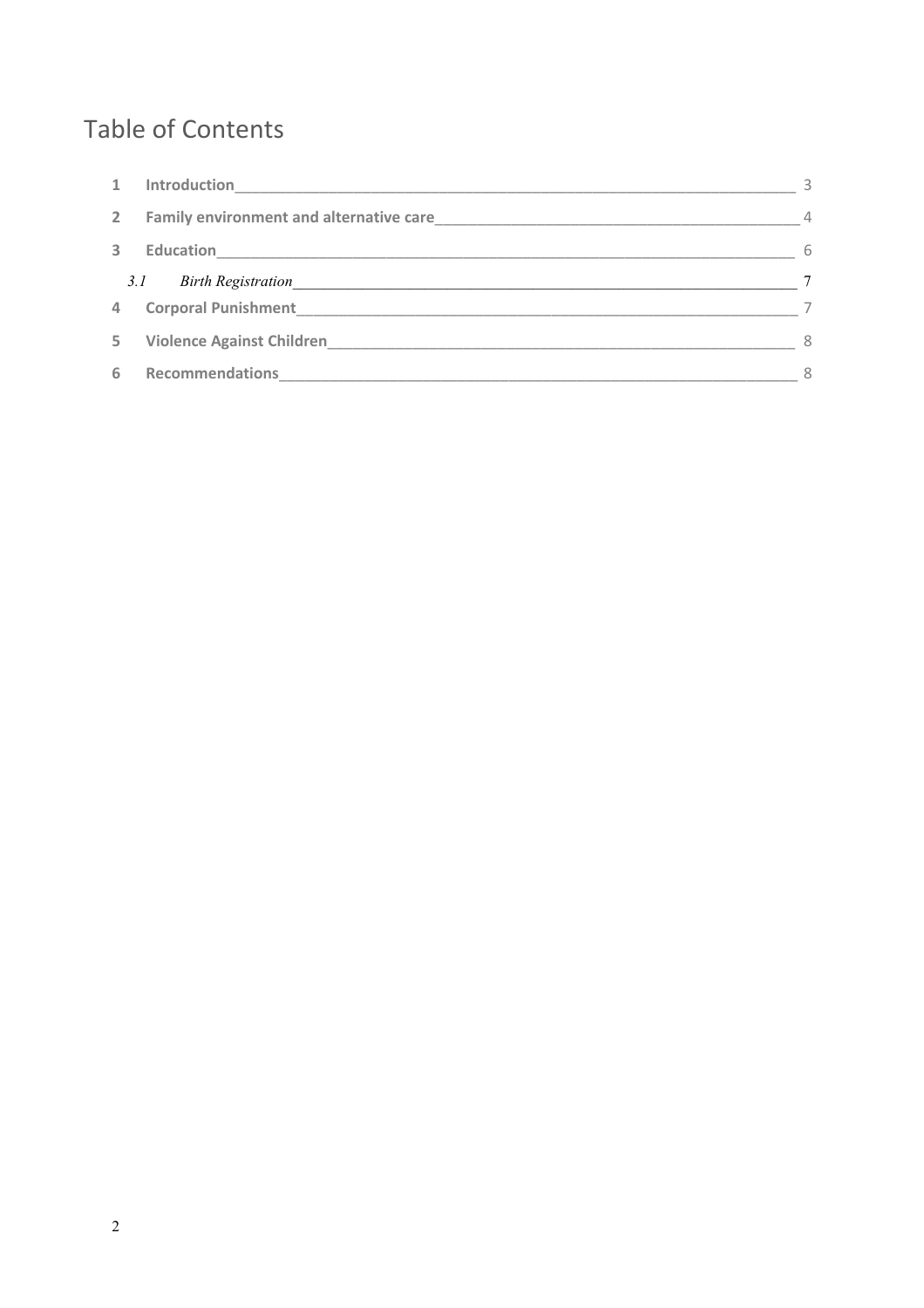## **Table of Contents**

| $\mathbf{1}$ | Introduction                     | 3              |
|--------------|----------------------------------|----------------|
| $2^{\circ}$  |                                  | $\overline{4}$ |
| 3            | <b>Education</b>                 | 6              |
|              | 3.1<br><b>Birth Registration</b> | $\tau$         |
| 4            | <b>Corporal Punishment</b>       |                |
| 5.           |                                  | 8              |
| 6            | <b>Recommendations</b>           | 8              |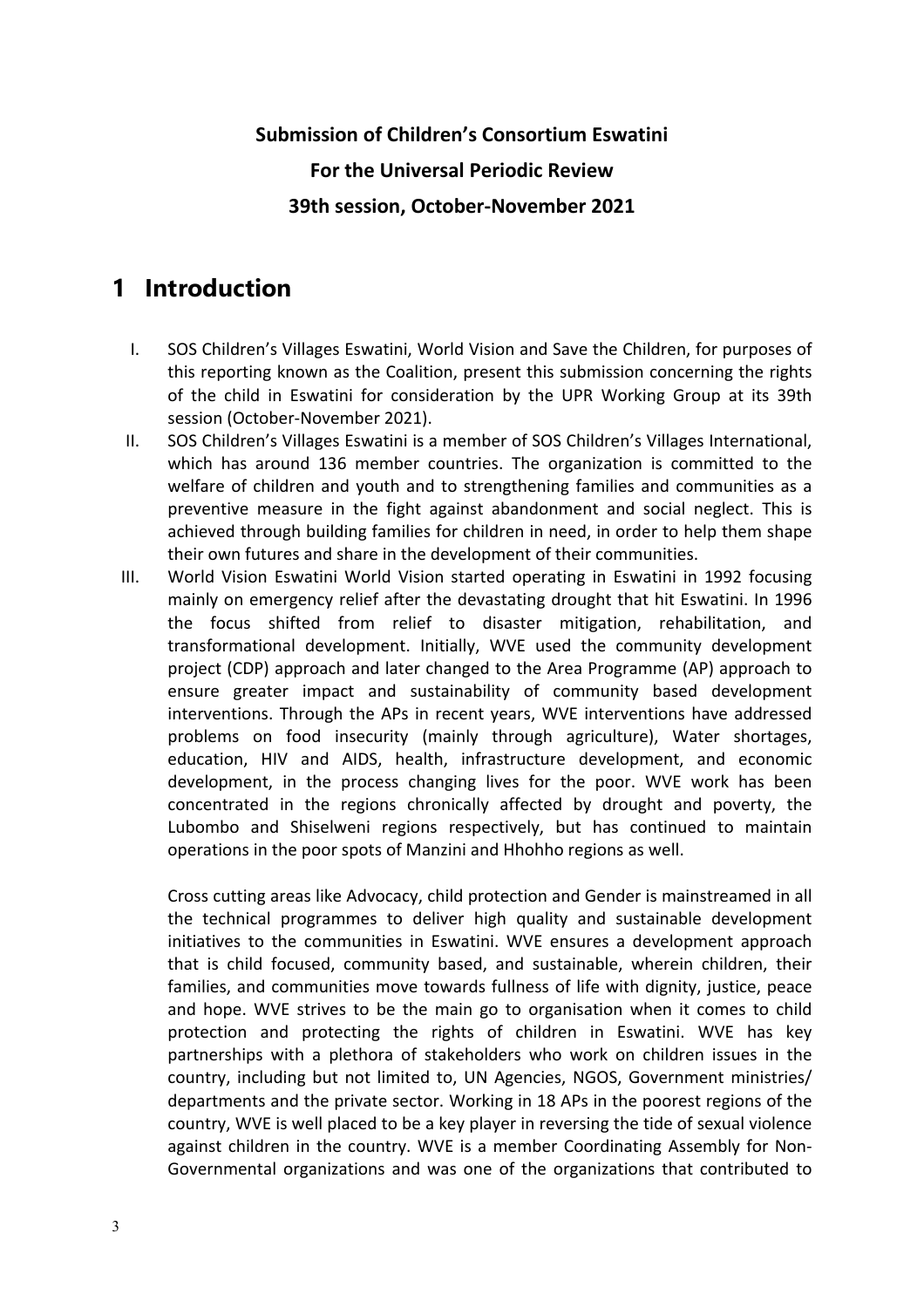### <span id="page-2-0"></span>**Submission of Children'<sup>s</sup> Consortium Eswatini For the Universal Periodic Review 39th session, October-November 2021**

#### **1 Introduction**

- I. SOS Children'<sup>s</sup> Villages Eswatini, World Vision and Save the Children, for purposes of this reporting known as the Coalition, present this submission concerning the rights of the child in Eswatini for consideration by the UPR Working Group at its 39th session (October-November 2021).
- II. SOS Children'<sup>s</sup> Villages Eswatini is <sup>a</sup> member of SOS Children'<sup>s</sup> Villages International, which has around 136 member countries. The organization is committed to the welfare of children and youth and to strengthening families and communities as <sup>a</sup> preventive measure in the fight against abandonment and social neglect. This is achieved through building families for children in need, in order to help them shape their own futures and share in the development of their communities.
- III. World Vision Eswatini World Vision started operating in Eswatini in 1992 focusing mainly on emergency relief after the devastating drought that hit Eswatini. In 1996 the focus shifted from relief to disaster mitigation, rehabilitation, and transformational development. Initially, WVE used the community development project (CDP) approach and later changed to the Area Programme (AP) approach to ensure greater impact and sustainability of community based development interventions. Through the APs in recent years, WVE interventions have addressed problems on food insecurity (mainly through agriculture), Water shortages, education, HIV and AIDS, health, infrastructure development, and economic development, in the process changing lives for the poor. WVE work has been concentrated in the regions chronically affected by drought and poverty, the Lubombo and Shiselweni regions respectively, but has continued to maintain operations in the poor spots of Manzini and Hhohho regions as well.

Cross cutting areas like Advocacy, child protection and Gender is mainstreamed in all the technical programmes to deliver high quality and sustainable development initiatives to the communities in Eswatini. WVE ensures <sup>a</sup> development approach that is child focused, community based, and sustainable, wherein children, their families, and communities move towards fullness of life with dignity, justice, peace and hope. WVE strives to be the main go to organisation when it comes to child protection and protecting the rights of children in Eswatini. WVE has key partnerships with <sup>a</sup> plethora of stakeholders who work on children issues in the country, including but not limited to, UN Agencies, NGOS, Government ministries/ departments and the private sector. Working in 18 APs in the poorest regions of the country, WVE is well placed to be <sup>a</sup> key player in reversing the tide of sexual violence against children in the country. WVE is <sup>a</sup> member Coordinating Assembly for Non-Governmental organizations and was one of the organizations that contributed to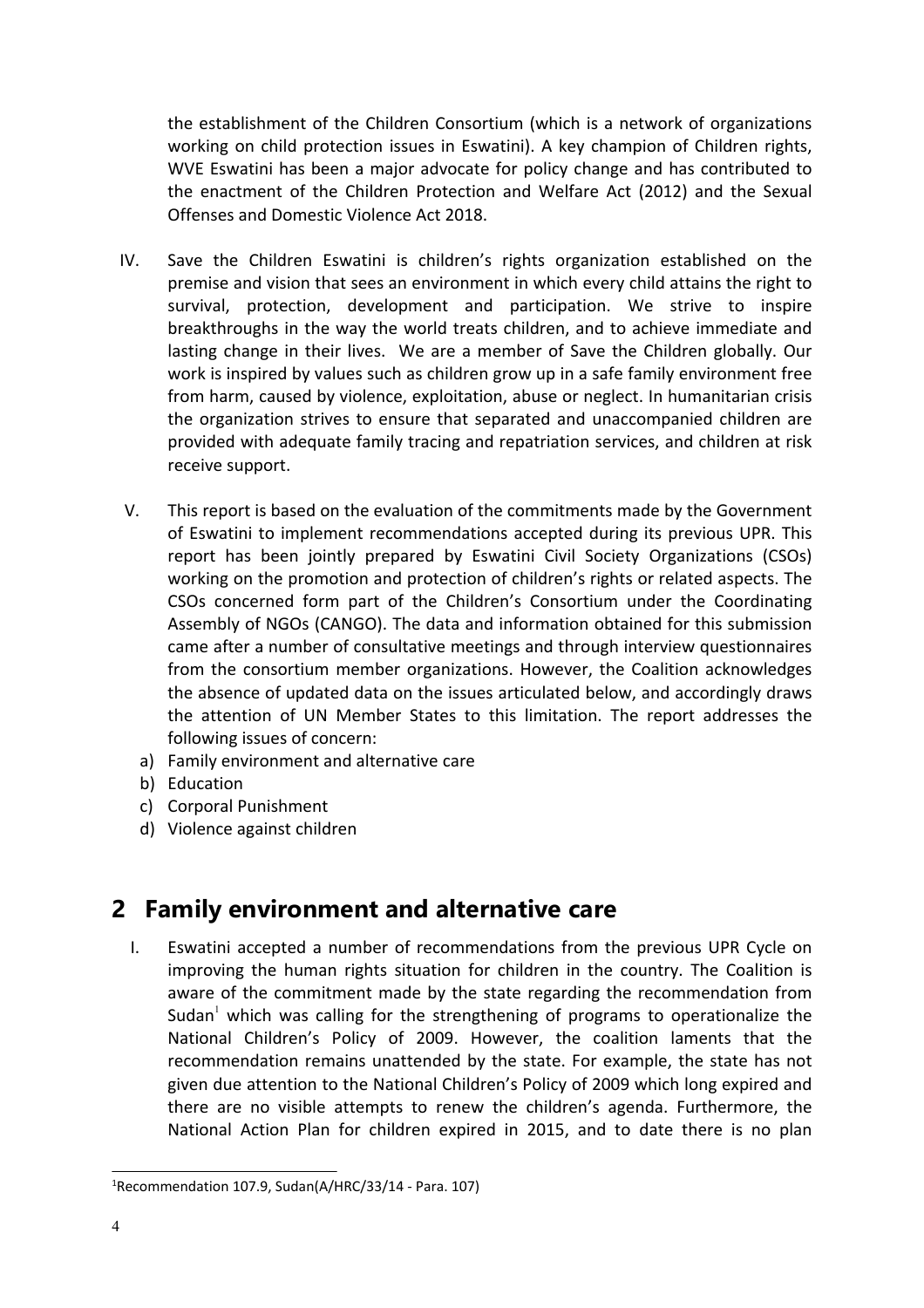<span id="page-3-0"></span>the establishment of the Children Consortium (which is <sup>a</sup> network of organizations working on child protection issues in Eswatini). A key champion of Children rights, WVE Eswatini has been <sup>a</sup> major advocate for policy change and has contributed to the enactment of the Children Protection and Welfare Act (2012) and the Sexual Offenses and Domestic Violence Act 2018.

- IV. Save the Children Eswatini is children'<sup>s</sup> rights organization established on the premise and vision that sees an environment in which every child attains the right to survival, protection, development and participation. We strive to inspire breakthroughs in the way the world treats children, and to achieve immediate and lasting change in their lives. We are <sup>a</sup> member of Save the Children globally. Our work is inspired by values such as children grow up in <sup>a</sup> safe family environment free from harm, caused by violence, exploitation, abuse or neglect. In humanitarian crisis the organization strives to ensure that separated and unaccompanied children are provided with adequate family tracing and repatriation services, and children at risk receive support.
- V. This report is based on the evaluation of the commitments made by the Government of Eswatini to implement recommendations accepted during its previous UPR. This report has been jointly prepared by Eswatini Civil Society Organizations (CSOs) working on the promotion and protection of children'<sup>s</sup> rights or related aspects. The CSOs concerned form part of the Children'<sup>s</sup> Consortium under the Coordinating Assembly of NGOs (CANGO). The data and information obtained for this submission came after <sup>a</sup> number of consultative meetings and through interview questionnaires from the consortium member organizations. However, the Coalition acknowledges the absence of updated data on the issues articulated below, and accordingly draws the attention of UN Member States to this limitation. The report addresses the following issues of concern:
	- a) Family environment and alternative care
	- b) Education
	- c) Corporal Punishment
	- d) Violence against children

#### **2 Family environment and alternative care**

I. Eswatini accepted <sup>a</sup> number of recommendations from the previous UPR Cycle on improving the human rights situation for children in the country. The Coalition is aware of the commitment made by the state regarding the recommendation from Sudan<sup>1</sup> which was calling for the strengthening of programs to operationalize the National Children'<sup>s</sup> Policy of 2009. However, the coalition laments that the recommendation remains unattended by the state. For example, the state has not given due attention to the National Children'<sup>s</sup> Policy of 2009 which long expired and there are no visible attempts to renew the children'<sup>s</sup> agenda. Furthermore, the National Action Plan for children expired in 2015, and to date there is no plan

<sup>1</sup> Recommendation 107.9, Sudan(A/HRC/33/14 - Para. 107)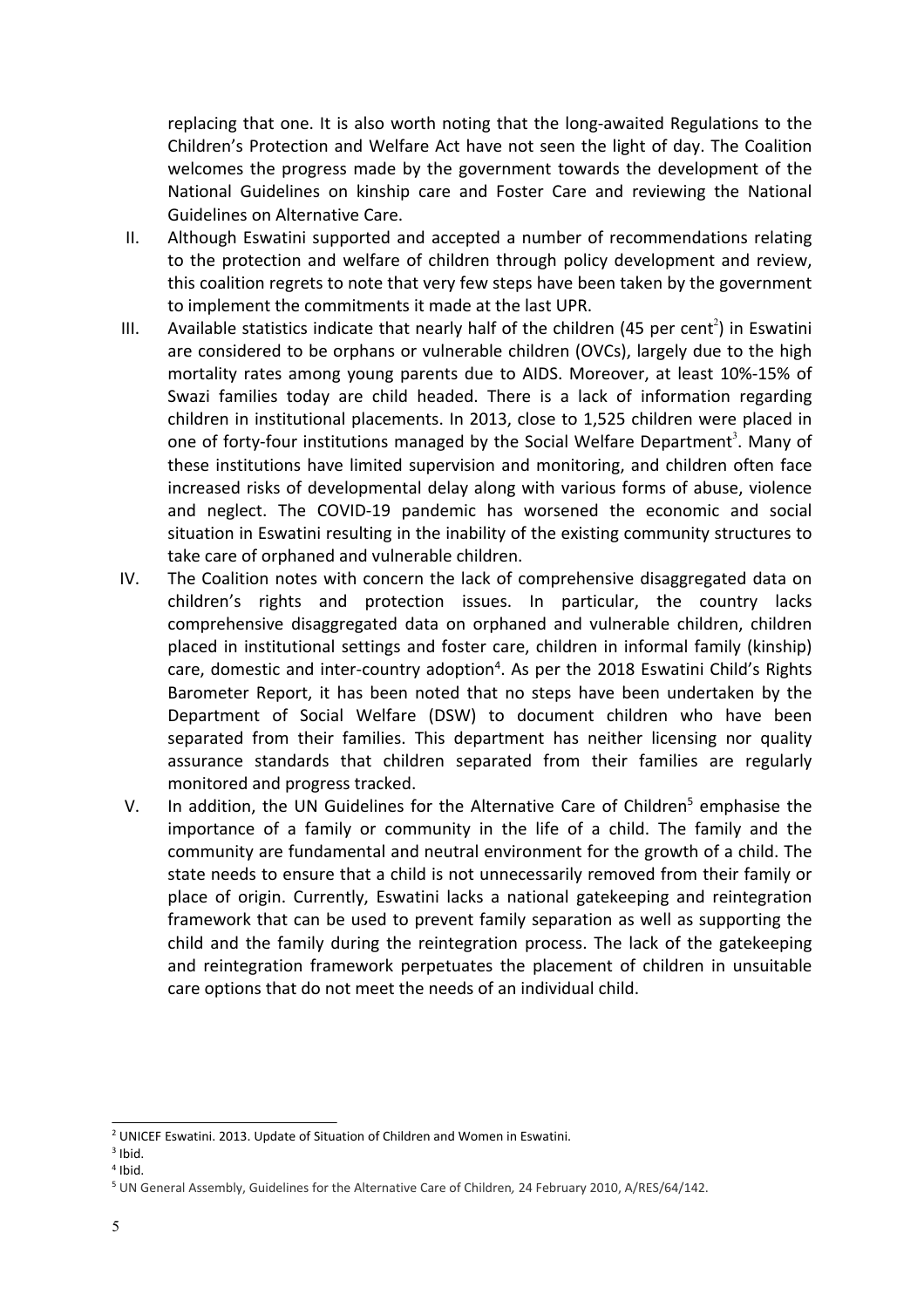replacing that one. It is also worth noting that the long-awaited Regulations to the Children'<sup>s</sup> Protection and Welfare Act have not seen the light of day. The Coalition welcomes the progress made by the government towards the development of the National Guidelines on kinship care and Foster Care and reviewing the National Guidelines on Alternative Care.

- II. Although Eswatini supported and accepted <sup>a</sup> number of recommendations relating to the protection and welfare of children through policy development and review, this coalition regrets to note that very few steps have been taken by the government to implement the commitments it made at the last UPR.
- III. Available statistics indicate that nearly half of the children (45 per cent<sup>2</sup>) in Eswatini are considered to be orphans or vulnerable children (OVCs), largely due to the high mortality rates among young parents due to AIDS. Moreover, at least 10%-15% of Swazi families today are child headed. There is <sup>a</sup> lack of information regarding children in institutional placements. In 2013, close to 1,525 children were placed in one of forty-four institutions managed by the Social Welfare Department<sup>3</sup>. Many of these institutions have limited supervision and monitoring, and children often face increased risks of developmental delay along with various forms of abuse, violence and neglect. The COVID-19 pandemic has worsened the economic and social situation in Eswatini resulting in the inability of the existing community structures to take care of orphaned and vulnerable children.
- IV. The Coalition notes with concern the lack of comprehensive disaggregated data on children'<sup>s</sup> rights and protection issues. In particular, the country lacks comprehensive disaggregated data on orphaned and vulnerable children, children placed in institutional settings and foster care, children in informal family (kinship) care, domestic and inter-country adoption $^4$ . As per the 2018 Eswatini Child's Rights Barometer Report, it has been noted that no steps have been undertaken by the Department of Social Welfare (DSW) to document children who have been separated from their families. This department has neither licensing nor quality assurance standards that children separated from their families are regularly monitored and progress tracked.
- V. In addition, the UN Guidelines for the Alternative Care of Children<sup>5</sup> emphasise the importance of <sup>a</sup> family or community in the life of <sup>a</sup> child. The family and the community are fundamental and neutral environment for the growth of <sup>a</sup> child. The state needs to ensure that <sup>a</sup> child is not unnecessarily removed from their family or place of origin. Currently, Eswatini lacks <sup>a</sup> national gatekeeping and reintegration framework that can be used to prevent family separation as well as supporting the child and the family during the reintegration process. The lack of the gatekeeping and reintegration framework perpetuates the placement of children in unsuitable care options that do not meet the needs of an individual child.

<sup>&</sup>lt;sup>2</sup> UNICEF Eswatini. 2013. Update of Situation of Children and Women in Eswatini.

<sup>&</sup>lt;sup>3</sup> Ibid.

<sup>4</sup> Ibid.

<sup>5</sup> UN General Assembly, Guidelines for the Alternative Care of Children*,* 24 February 2010, A/RES/64/142.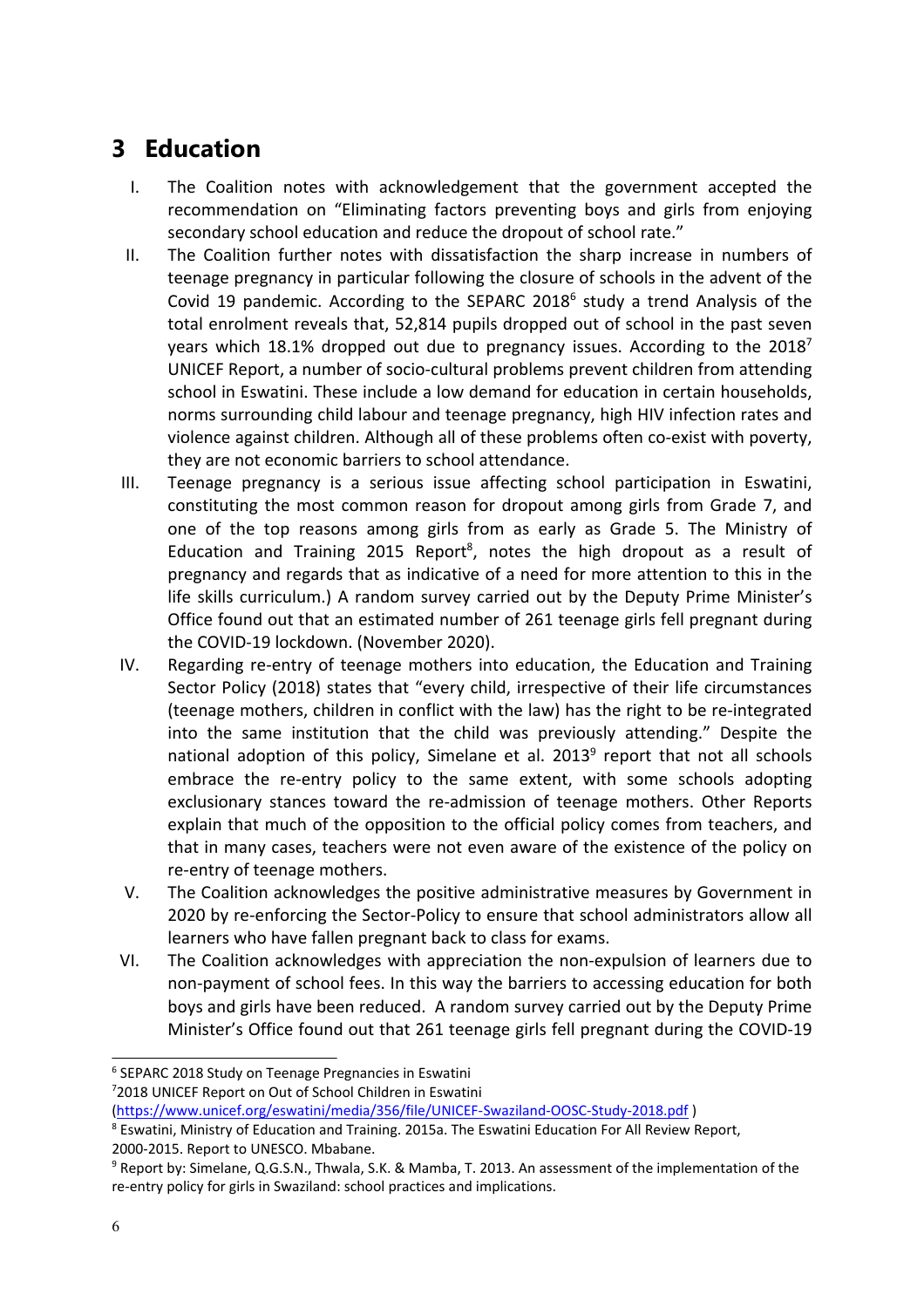#### <span id="page-5-0"></span>**3 Education**

- I. The Coalition notes with acknowledgement that the government accepted the recommendation on "Eliminating factors preventing boys and girls from enjoying secondary school education and reduce the dropout of school rate."
- II. The Coalition further notes with dissatisfaction the sharp increase in numbers of teenage pregnancy in particular following the closure of schools in the advent of the Covid 19 pandemic. According to the SEPARC 2018 $^6$  study a trend Analysis of the total enrolment reveals that, 52,814 pupils dropped out of school in the past seven years which 18.1% dropped out due to pregnancy issues. According to the 2018<sup>7</sup> UNICEF Report, <sup>a</sup> number of socio-cultural problems prevent children from attending school in Eswatini. These include <sup>a</sup> low demand for education in certain households, norms surrounding child labour and teenage pregnancy, high HIV infection rates and violence against children. Although all of these problems often co-exist with poverty, they are not economic barriers to school attendance.
- III. Teenage pregnancy is <sup>a</sup> serious issue affecting school participation in Eswatini, constituting the most common reason for dropout among girls from Grade 7, and one of the top reasons among girls from as early as Grade 5. The Ministry of Education and Training 2015 Report<sup>8</sup>, notes the high dropout as a result of pregnancy and regards that as indicative of <sup>a</sup> need for more attention to this in the life skills curriculum.) A random survey carried out by the Deputy Prime Minister'<sup>s</sup> Office found out that an estimated number of 261 teenage girls fell pregnant during the COVID-19 lockdown. (November 2020).
- IV. Regarding re-entry of teenage mothers into education, the Education and Training Sector Policy (2018) states that "every child, irrespective of their life circumstances (teenage mothers, children in conflict with the law) has the right to be re-integrated into the same institution that the child was previously attending." Despite the national adoption of this policy, Simelane et al. 2013<sup>9</sup> report that not all schools embrace the re-entry policy to the same extent, with some schools adopting exclusionary stances toward the re-admission of teenage mothers. Other Reports explain that much of the opposition to the official policy comes from teachers, and that in many cases, teachers were not even aware of the existence of the policy on re-entry of teenage mothers.
- V. The Coalition acknowledges the positive administrative measures by Government in 2020 by re-enforcing the Sector-Policy to ensure that school administrators allow all learners who have fallen pregnant back to class for exams.
- VI. The Coalition acknowledges with appreciation the non-expulsion of learners due to non-payment of school fees. In this way the barriers to accessing education for both boys and girls have been reduced. A random survey carried out by the Deputy Prime Minister'<sup>s</sup> Office found out that 261 teenage girls fell pregnant during the COVID-19

<sup>6</sup> SEPARC 2018 Study on Teenage Pregnancies in Eswatini

<sup>7</sup> 2018 UNICEF Report on Out of School Children in Eswatini

<sup>(</sup><https://www.unicef.org/eswatini/media/356/file/UNICEF-Swaziland-OOSC-Study-2018.pdf> )

<sup>&</sup>lt;sup>8</sup> Eswatini, Ministry of Education and Training. 2015a. The Eswatini Education For All Review Report, 2000-2015. Report to UNESCO. Mbabane.

<sup>&</sup>lt;sup>9</sup> Report by: Simelane, Q.G.S.N., Thwala, S.K. & Mamba, T. 2013. An assessment of the implementation of the re-entry policy for girls in Swaziland: school practices and implications.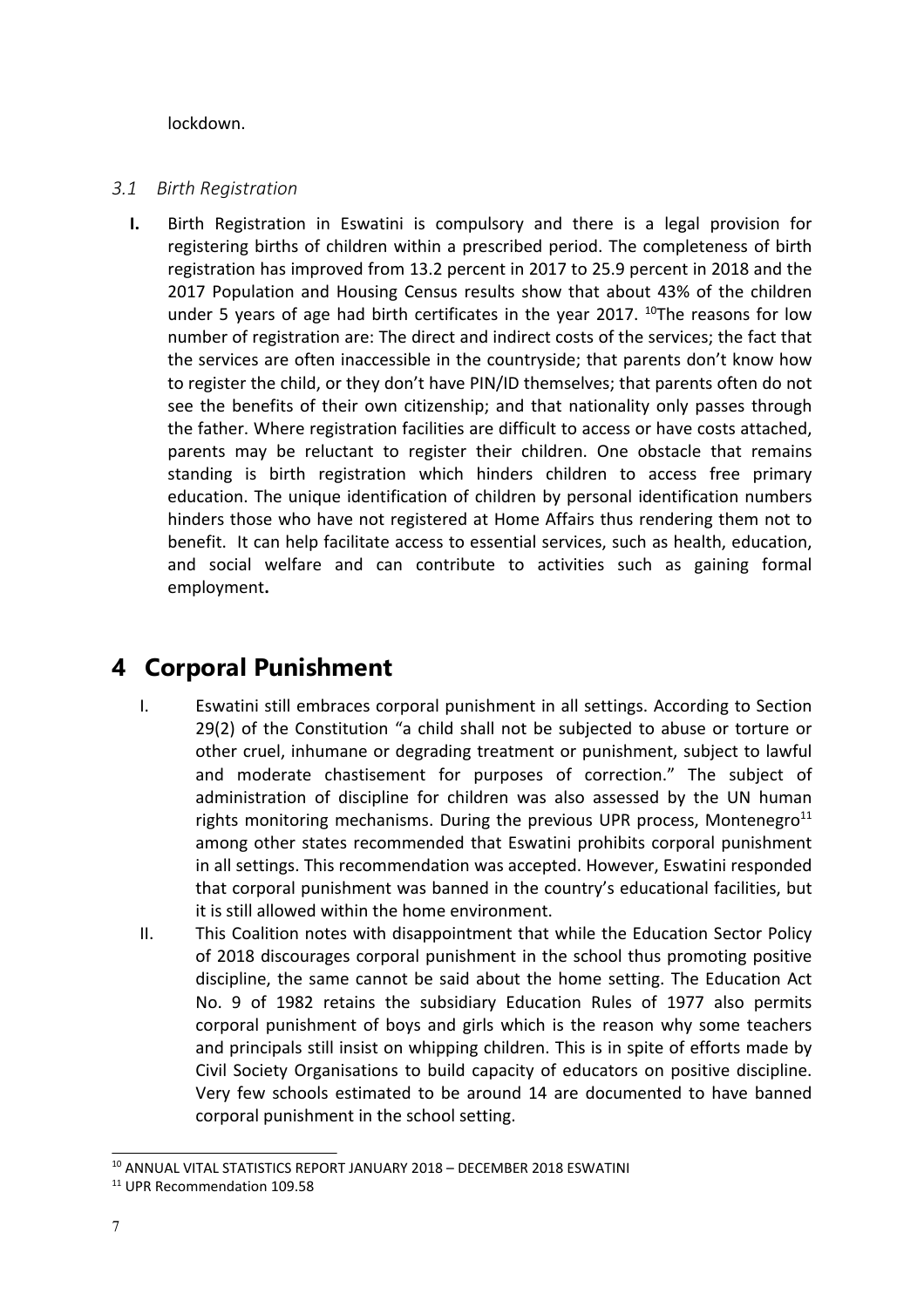<span id="page-6-0"></span>lockdown.

#### *3.1 Birth Registration*

**I.** Birth Registration in Eswatini is compulsory and there is <sup>a</sup> legal provision for registering births of children within <sup>a</sup> prescribed period. The completeness of birth registration has improved from 13.2 percent in 2017 to 25.9 percent in 2018 and the 2017 Population and Housing Census results show that about 43% of the children under 5 years of age had birth certificates in the year 2017. <sup>10</sup>The reasons for low number of registration are: The direct and indirect costs of the services; the fact that the services are often inaccessible in the countryside; that parents don'<sup>t</sup> know how to register the child, or they don'<sup>t</sup> have PIN/ID themselves; that parents often do not see the benefits of their own citizenship; and that nationality only passes through the father. Where registration facilities are difficult to access or have costs attached, parents may be reluctant to register their children. One obstacle that remains standing is birth registration which hinders children to access free primary education. The unique identification of children by personal identification numbers hinders those who have not registered at Home Affairs thus rendering them not to benefit. It can help facilitate access to essential services, such as health, education, and social welfare and can contribute to activities such as gaining formal employment**.**

#### **4 Corporal Punishment**

- I. Eswatini still embraces corporal punishment in all settings. According to Section 29(2) of the Constitution "<sup>a</sup> child shall not be subjected to abuse or torture or other cruel, inhumane or degrading treatment or punishment, subject to lawful and moderate chastisement for purposes of correction." The subject of administration of discipline for children was also assessed by the UN human rights monitoring mechanisms. During the previous UPR process, Montenegro<sup>11</sup> among other states recommended that Eswatini prohibits corporal punishment in all settings. This recommendation was accepted. However, Eswatini responded that corporal punishment was banned in the country'<sup>s</sup> educational facilities, but it is still allowed within the home environment.
- II. This Coalition notes with disappointment that while the Education Sector Policy of 2018 discourages corporal punishment in the school thus promoting positive discipline, the same cannot be said about the home setting. The Education Act No. 9 of 1982 retains the subsidiary Education Rules of 1977 also permits corporal punishment of boys and girls which is the reason why some teachers and principals still insist on whipping children. This is in spite of efforts made by Civil Society Organisations to build capacity of educators on positive discipline. Very few schools estimated to be around 14 are documented to have banned corporal punishment in the school setting.

 $^{\rm 10}$  ANNUAL VITAL STATISTICS REPORT JANUARY 2018 – DECEMBER 2018 ESWATINI

<sup>&</sup>lt;sup>11</sup> UPR Recommendation 109.58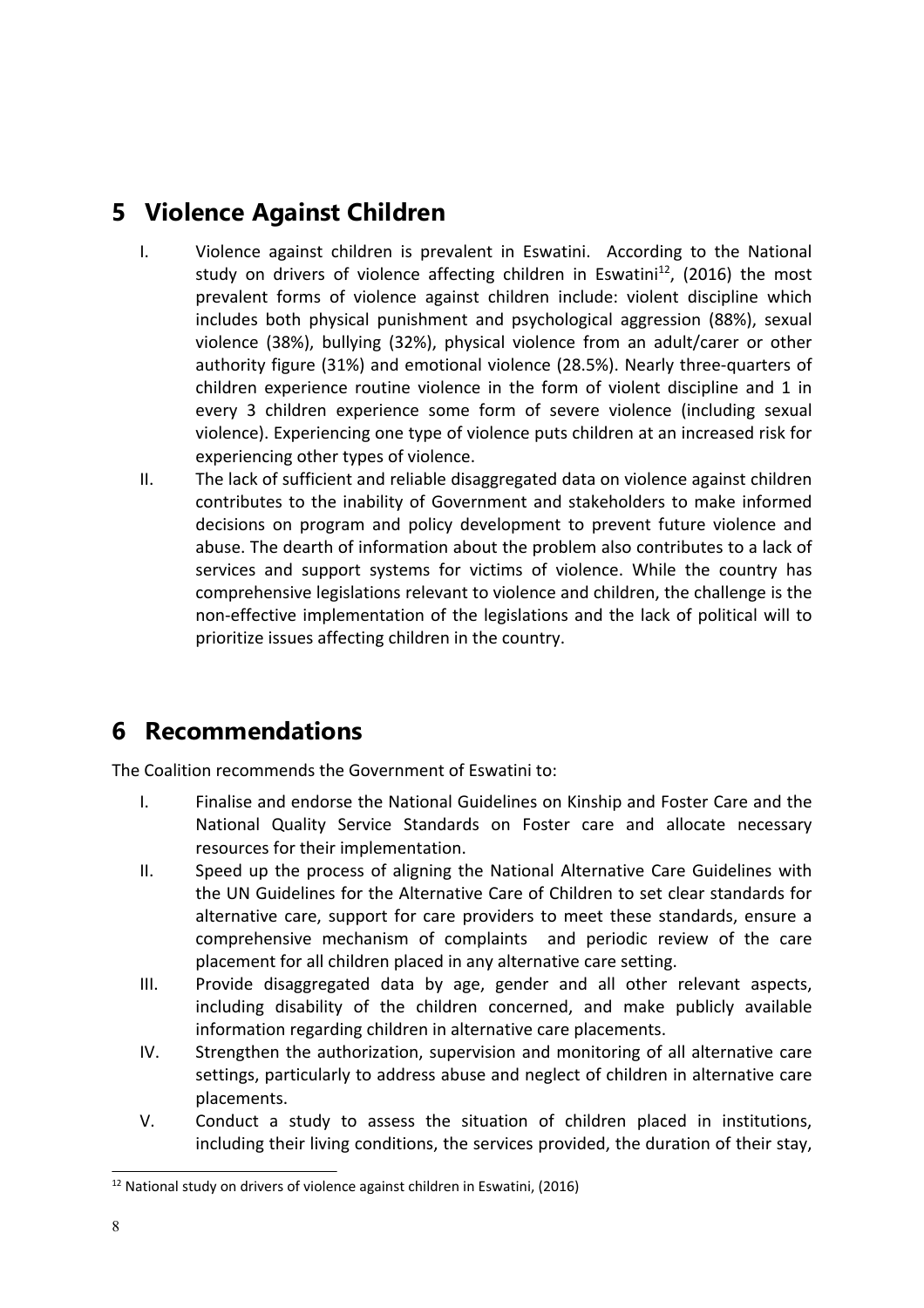#### <span id="page-7-0"></span>**5 Violence Against Children**

- I. Violence against children is prevalent in Eswatini. According to the National study on drivers of violence affecting children in Eswatini<sup>12</sup>, (2016) the most prevalent forms of violence against children include: violent discipline which includes both physical punishment and psychological aggression (88%), sexual violence (38%), bullying (32%), physical violence from an adult/carer or other authority figure (31%) and emotional violence (28.5%). Nearly three-quarters of children experience routine violence in the form of violent discipline and 1 in every 3 children experience some form of severe violence (including sexual violence). Experiencing one type of violence puts children at an increased risk for experiencing other types of violence.
- II. The lack of sufficient and reliable disaggregated data on violence against children contributes to the inability of Government and stakeholders to make informed decisions on program and policy development to prevent future violence and abuse. The dearth of information about the problem also contributes to <sup>a</sup> lack of services and support systems for victims of violence. While the country has comprehensive legislations relevant to violence and children, the challenge is the non-effective implementation of the legislations and the lack of political will to prioritize issues affecting children in the country.

#### **6 Recommendations**

The Coalition recommends the Government of Eswatini to:

- I. Finalise and endorse the National Guidelines on Kinship and Foster Care and the National Quality Service Standards on Foster care and allocate necessary resources for their implementation.
- II. Speed up the process of aligning the National Alternative Care Guidelines with the UN Guidelines for the Alternative Care of Children to set clear standards for alternative care, support for care providers to meet these standards, ensure <sup>a</sup> comprehensive mechanism of complaints and periodic review of the care placement for all children placed in any alternative care setting.
- III. Provide disaggregated data by age, gender and all other relevant aspects, including disability of the children concerned, and make publicly available information regarding children in alternative care placements.
- IV. Strengthen the authorization, supervision and monitoring of all alternative care settings, particularly to address abuse and neglect of children in alternative care placements.
- V. Conduct <sup>a</sup> study to assess the situation of children placed in institutions, including their living conditions, the services provided, the duration of their stay,

 $^{12}$  National study on drivers of violence against children in Eswatini, (2016)